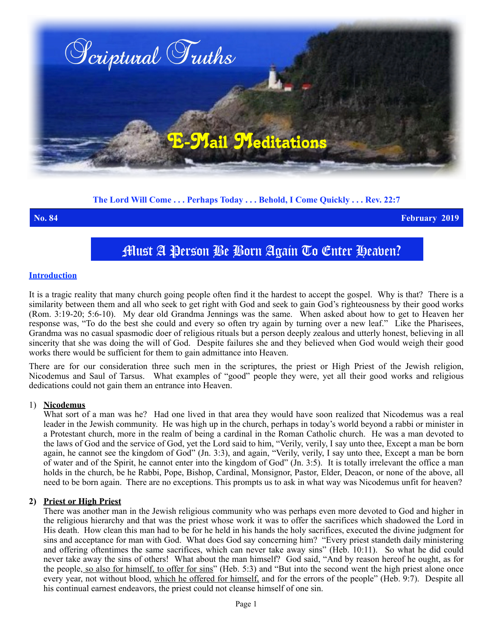

**The Lord Will Come . . . Perhaps Today . . . Behold, I Come Quickly . . . Rev. 22:7**

**No. 84 February 2019**

# Must A Person Be Born Again To Enter Heaven?

#### **Introduction**

It is a tragic reality that many church going people often find it the hardest to accept the gospel. Why is that? There is a similarity between them and all who seek to get right with God and seek to gain God's righteousness by their good works (Rom. 3:19-20; 5:6-10). My dear old Grandma Jennings was the same. When asked about how to get to Heaven her response was, "To do the best she could and every so often try again by turning over a new leaf." Like the Pharisees, Grandma was no casual spasmodic doer of religious rituals but a person deeply zealous and utterly honest, believing in all sincerity that she was doing the will of God. Despite failures she and they believed when God would weigh their good works there would be sufficient for them to gain admittance into Heaven.

There are for our consideration three such men in the scriptures, the priest or High Priest of the Jewish religion, Nicodemus and Saul of Tarsus. What examples of "good" people they were, yet all their good works and religious dedications could not gain them an entrance into Heaven.

## 1) **Nicodemus**

What sort of a man was he? Had one lived in that area they would have soon realized that Nicodemus was a real leader in the Jewish community. He was high up in the church, perhaps in today's world beyond a rabbi or minister in a Protestant church, more in the realm of being a cardinal in the Roman Catholic church. He was a man devoted to the laws of God and the service of God, yet the Lord said to him, "Verily, verily, I say unto thee, Except a man be born again, he cannot see the kingdom of God" (Jn. 3:3), and again, "Verily, verily, I say unto thee, Except a man be born of water and of the Spirit, he cannot enter into the kingdom of God" (Jn. 3:5). It is totally irrelevant the office a man holds in the church, be he Rabbi, Pope, Bishop, Cardinal, Monsignor, Pastor, Elder, Deacon, or none of the above, all need to be born again. There are no exceptions. This prompts us to ask in what way was Nicodemus unfit for heaven?

## **2) Priest or High Priest**

There was another man in the Jewish religious community who was perhaps even more devoted to God and higher in the religious hierarchy and that was the priest whose work it was to offer the sacrifices which shadowed the Lord in His death. How clean this man had to be for he held in his hands the holy sacrifices, executed the divine judgment for sins and acceptance for man with God. What does God say concerning him? "Every priest standeth daily ministering and offering oftentimes the same sacrifices, which can never take away sins" (Heb. 10:11). So what he did could never take away the sins of others! What about the man himself? God said, "And by reason hereof he ought, as for the people, so also for himself, to offer for sins" (Heb. 5:3) and "But into the second went the high priest alone once every year, not without blood, which he offered for himself, and for the errors of the people" (Heb. 9:7). Despite all his continual earnest endeavors, the priest could not cleanse himself of one sin.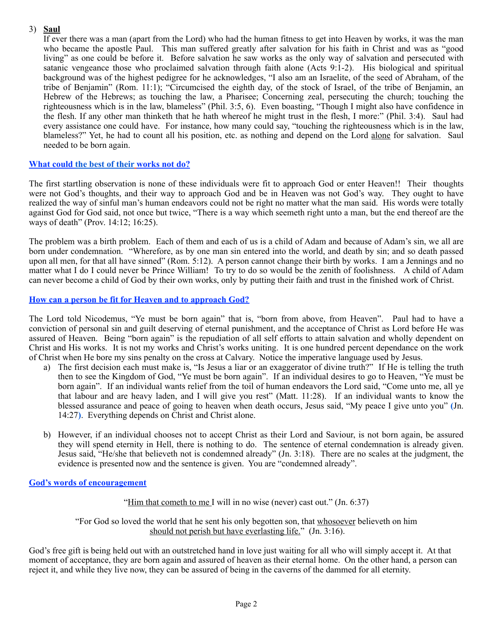## 3) **Saul**

If ever there was a man (apart from the Lord) who had the human fitness to get into Heaven by works, it was the man who became the apostle Paul. This man suffered greatly after salvation for his faith in Christ and was as "good living" as one could be before it. Before salvation he saw works as the only way of salvation and persecuted with satanic vengeance those who proclaimed salvation through faith alone (Acts 9:1-2). His biological and spiritual background was of the highest pedigree for he acknowledges, "I also am an Israelite, of the seed of Abraham, of the tribe of Benjamin" (Rom. 11:1); "Circumcised the eighth day, of the stock of Israel, of the tribe of Benjamin, an Hebrew of the Hebrews; as touching the law, a Pharisee; Concerning zeal, persecuting the church; touching the righteousness which is in the law, blameless" (Phil. 3:5, 6). Even boasting, "Though I might also have confidence in the flesh. If any other man thinketh that he hath whereof he might trust in the flesh, I more:" (Phil. 3:4). Saul had every assistance one could have. For instance, how many could say, "touching the righteousness which is in the law, blameless?" Yet, he had to count all his position, etc. as nothing and depend on the Lord alone for salvation. Saul needed to be born again.

## **What could the best of their works not do?**

The first startling observation is none of these individuals were fit to approach God or enter Heaven!! Their thoughts were not God's thoughts, and their way to approach God and be in Heaven was not God's way. They ought to have realized the way of sinful man's human endeavors could not be right no matter what the man said. His words were totally against God for God said, not once but twice, "There is a way which seemeth right unto a man, but the end thereof are the ways of death" (Prov. 14:12; 16:25).

The problem was a birth problem. Each of them and each of us is a child of Adam and because of Adam's sin, we all are born under condemnation. "Wherefore, as by one man sin entered into the world, and death by sin; and so death passed upon all men, for that all have sinned" (Rom. 5:12). A person cannot change their birth by works. I am a Jennings and no matter what I do I could never be Prince William! To try to do so would be the zenith of foolishness. A child of Adam can never become a child of God by their own works, only by putting their faith and trust in the finished work of Christ.

## **How can a person be fit for Heaven and to approach God?**

The Lord told Nicodemus, "Ye must be born again" that is, "born from above, from Heaven". Paul had to have a conviction of personal sin and guilt deserving of eternal punishment, and the acceptance of Christ as Lord before He was assured of Heaven. Being "born again" is the repudiation of all self efforts to attain salvation and wholly dependent on Christ and His works. It is not my works and Christ's works uniting. It is one hundred percent dependance on the work of Christ when He bore my sins penalty on the cross at Calvary. Notice the imperative language used by Jesus.

- a) The first decision each must make is, "Is Jesus a liar or an exaggerator of divine truth?" If He is telling the truth then to see the Kingdom of God, "Ye must be born again". If an individual desires to go to Heaven, "Ye must be born again". If an individual wants relief from the toil of human endeavors the Lord said, "Come unto me, all ye that labour and are heavy laden, and I will give you rest" (Matt. 11:28). If an individual wants to know the blessed assurance and peace of going to heaven when death occurs, Jesus said, "My peace I give unto you" **(**Jn. 14:27**)**. Everything depends on Christ and Christ alone.
- b) However, if an individual chooses not to accept Christ as their Lord and Saviour, is not born again, be assured they will spend eternity in Hell, there is nothing to do. The sentence of eternal condemnation is already given. Jesus said, "He/she that believeth not is condemned already" (Jn. 3:18). There are no scales at the judgment, the evidence is presented now and the sentence is given. You are "condemned already".

## **God's words of encouragement**

"Him that cometh to me I will in no wise (never) cast out." (Jn. 6:37)

"For God so loved the world that he sent his only begotten son, that whosoever believeth on him should not perish but have everlasting life." (Jn. 3:16).

God's free gift is being held out with an outstretched hand in love just waiting for all who will simply accept it. At that moment of acceptance, they are born again and assured of heaven as their eternal home. On the other hand, a person can reject it, and while they live now, they can be assured of being in the caverns of the dammed for all eternity.